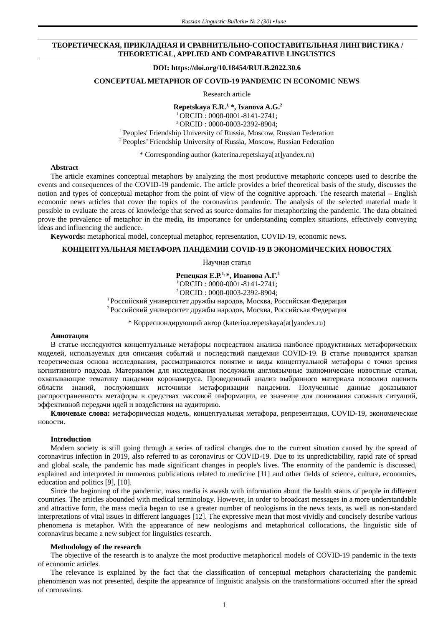# **ТЕОРЕТИЧЕСКАЯ, ПРИКЛАДНАЯ И СРАВНИТЕЛЬНО-СОПОСТАВИТЕЛЬНАЯ ЛИНГВИСТИКА / THEORETICAL, APPLIED AND COMPARATIVE LINGUISTICS**

#### **DOI: https://doi.org/10.18454/RULB.2022.30.6**

#### **CONCEPTUAL METAPHOR OF COVID-19 PANDEMIC IN ECONOMIC NEWS**

#### Research article

**Repetskaya E.R.1, \*, Ivanova A.G.<sup>2</sup>**

<sup>1</sup>ORCID : 0000-0001-8141-2741; <sup>2</sup>ORCID : 0000-0003-2392-8904; <sup>1</sup> Peoples' Friendship University of Russia, Moscow, Russian Federation <sup>2</sup> Peoples' Friendship University of Russia, Moscow, Russian Federation

\* Corresponding author (katerina.repetskaya[at]yandex.ru)

# **Abstract**

The article examines conceptual metaphors by analyzing the most productive metaphoric concepts used to describe the events and consequences of the COVID-19 pandemic. The article provides a brief theoretical basis of the study, discusses the notion and types of conceptual metaphor from the point of view of the cognitive approach. The research material – English economic news articles that cover the topics of the coronavirus pandemic. The analysis of the selected material made it possible to evaluate the areas of knowledge that served as source domains for metaphorizing the pandemic. The data obtained prove the prevalence of metaphor in the media, its importance for understanding complex situations, effectively conveying ideas and influencing the audience.

**Keywords:** metaphorical model, conceptual metaphor, representation, COVID-19, economic news.

# **КОНЦЕПТУАЛЬНАЯ МЕТАФОРА ПАНДЕМИИ COVID-19 В ЭКОНОМИЧЕСКИХ НОВОСТЯХ**

Научная статья

**Репецкая Е.Р.1, \*, Иванова А.Г.<sup>2</sup>** <sup>1</sup>ORCID : 0000-0001-8141-2741; <sup>2</sup>ORCID : 0000-0003-2392-8904;

<sup>1</sup>Российский университет дружбы народов, Москва, Российская Федерация <sup>2</sup>Российский университет дружбы народов, Москва, Российская Федерация

\* Корреспондирующий автор (katerina.repetskaya[at]yandex.ru)

#### **Аннотация**

В статье исследуются концептуальные метафоры посредством анализа наиболее продуктивных метафорических моделей, используемых для описания событий и последствий пандемии COVID-19. В статье приводится краткая теоретическая основа исследования, рассматриваются понятие и виды концептуальной метафоры с точки зрения когнитивного подхода. Материалом для исследования послужили англоязычные экономические новостные статьи, охватывающие тематику пандемии коронавируса. Проведенный анализ выбранного материала позволил оценить области знаний, послуживших источники метафоризации пандемии. Полученные данные доказывают распространенность метафоры в средствах массовой информации, ее значение для понимания сложных ситуаций, эффективной передачи идей и воздействия на аудиторию.

**Ключевые слова:** метафорическая модель, концептуальная метафора, репрезентация, COVID-19, экономические новости.

#### **Introduction**

Modern society is still going through a series of radical changes due to the current situation caused by the spread of coronavirus infection in 2019, also referred to as coronavirus or COVID-19. Due to its unpredictability, rapid rate of spread and global scale, the pandemic has made significant changes in people's lives. The enormity of the pandemic is discussed, explained and interpreted in numerous publications related to medicine [11] and other fields of science, culture, economics, education and politics [9], [10].

Since the beginning of the pandemic, mass media is awash with information about the health status of people in different countries. The articles abounded with medical terminology. However, in order to broadcast messages in a more understandable and attractive form, the mass media began to use a greater number of neologisms in the news texts, as well as non-standard interpretations of vital issues in different languages [12]. The expressive mean that most vividly and concisely describe various phenomena is metaphor. With the appearance of new neologisms and metaphorical collocations, the linguistic side of coronavirus became a new subject for linguistics research.

# **Methodology of the research**

The objective of the research is to analyze the most productive metaphorical models of COVID-19 pandemic in the texts of economic articles.

The relevance is explained by the fact that the classification of conceptual metaphors characterizing the pandemic phenomenon was not presented, despite the appearance of linguistic analysis on the transformations occurred after the spread of coronavirus.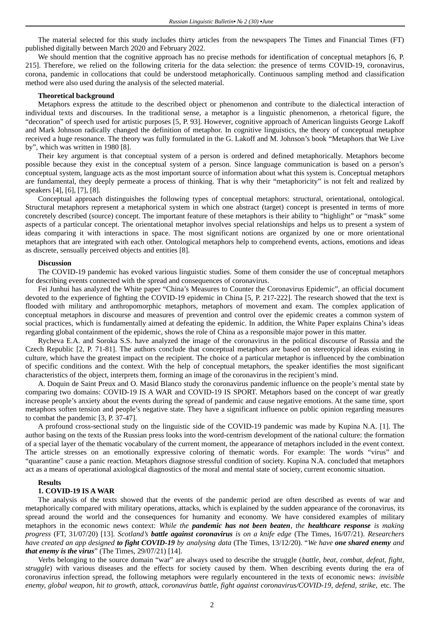The material selected for this study includes thirty articles from the newspapers The Times and Financial Times (FT) published digitally between March 2020 and February 2022.

We should mention that the cognitive approach has no precise methods for identification of conceptual metaphors [6, P. 215]. Therefore, we relied on the following criteria for the data selection: the presence of terms COVID-19, coronavirus, corona, pandemic in collocations that could be understood metaphorically. Continuous sampling method and classification method were also used during the analysis of the selected material.

#### **Theoretical background**

Metaphors express the attitude to the described object or phenomenon and contribute to the dialectical interaction of individual texts and discourses. In the traditional sense, a metaphor is a linguistic phenomenon, a rhetorical figure, the "decoration" of speech used for artistic purposes [5, P. 93]. However, cognitive approach of American linguists George Lakoff and Mark Johnson radically changed the definition of metaphor. In cognitive linguistics, the theory of conceptual metaphor received a huge resonance. The theory was fully formulated in the G. Lakoff and M. Johnson's book "Metaphors that We Live by", which was written in 1980 [8].

Their key argument is that conceptual system of a person is ordered and defined metaphorically. Metaphors become possible because they exist in the conceptual system of a person. Since language communication is based on a person's conceptual system, language acts as the most important source of information about what this system is. Conceptual metaphors are fundamental, they deeply permeate a process of thinking. That is why their "metaphoricity" is not felt and realized by speakers [4], [6], [7], [8].

Conceptual approach distinguishes the following types of conceptual metaphors: structural, orientational, ontological. Structural metaphors represent a metaphorical system in which one abstract (target) concept is presented in terms of more concretely described (source) concept. The important feature of these metaphors is their ability to "highlight" or "mask" some aspects of a particular concept. The orientational metaphor involves special relationships and helps us to present a system of ideas comparing it with interactions in space. The most significant notions are organized by one or more orientational metaphors that are integrated with each other. Ontological metaphors help to comprehend events, actions, emotions and ideas as discrete, sensually perceived objects and entities [8].

#### **Discussion**

The COVID-19 pandemic has evoked various linguistic studies. Some of them consider the use of conceptual metaphors for describing events connected with the spread and consequences of coronavirus.

Fei Junhui has analyzed the White paper "China's Measures to Counter the Coronavirus Epidemic", an official document devoted to the experience of fighting the COVID-19 epidemic in China [5, P. 217-222]. The research showed that the text is flooded with military and anthropomorphic metaphors, metaphors of movement and exam. The complex application of conceptual metaphors in discourse and measures of prevention and control over the epidemic creates a common system of social practices, which is fundamentally aimed at defeating the epidemic. In addition, the White Paper explains China's ideas regarding global containment of the epidemic, shows the role of China as a responsible major power in this matter.

Rycheva E.A. and Soroka S.S. have analyzed the image of the coronavirus in the political discourse of Russia and the Czech Republic [2, P. 71-81]. The authors conclude that conceptual metaphors are based on stereotypical ideas existing in culture, which have the greatest impact on the recipient. The choice of a particular metaphor is influenced by the combination of specific conditions and the context. With the help of conceptual metaphors, the speaker identifies the most significant characteristics of the object, interprets them, forming an image of the coronavirus in the recipient's mind.

A. Doquin de Saint Preux and O. Masid Blanco study the coronavirus pandemic influence on the people's mental state by comparing two domains: COVID-19 IS A WAR and COVID-19 IS SPORT. Metaphors based on the concept of war greatly increase people's anxiety about the events during the spread of pandemic and cause negative emotions. At the same time, sport metaphors soften tension and people's negative state. They have a significant influence on public opinion regarding measures to combat the pandemic [3, P. 37-47].

A profound cross-sectional study on the linguistic side of the COVID-19 pandemic was made by Kupina N.A. [1]. The author basing on the texts of the Russian press looks into the word-centrism development of the national culture: the formation of a special layer of the thematic vocabulary of the current moment, the appearance of metaphors included in the event context. The article stresses on an emotionally expressive coloring of thematic words. For example: The words "virus" and "quarantine" cause a panic reaction. Metaphors diagnose stressful condition of society. Kupina N.A. concluded that metaphors act as a means of operational axiological diagnostics of the moral and mental state of society, current economic situation.

#### **Results**

### **1. COVID-19 IS A WAR**

The analysis of the texts showed that the events of the pandemic period are often described as events of war and metaphorically compared with military operations, attacks, which is explained by the sudden appearance of the coronavirus, its spread around the world and the consequences for humanity and economy. We have considered examples of military metaphors in the economic news context: *While the pandemic has not been beaten, the healthcare response is making progress* (FT, 31/07/20) [13]. *Scotland's battle against coronavirus is on a knife edge* (The Times, 16/07/21). *Researchers have created an app designed to fight COVID-19 by analysing data* (The Times, 13/12/20). "*We have one shared enemy and that enemy is the virus*" (The Times, 29/07/21) [14].

Verbs belonging to the source domain "war" are always used to describe the struggle (*battle, beat, combat, defeat, fight, struggle*) with various diseases and the effects for society caused by them. When describing events during the era of coronavirus infection spread, the following metaphors were regularly encountered in the texts of economic news: *invisible* enemy, global weapon, hit to growth, attack, coronavirus battle, fight against coronavirus/COVID-19, defend, strike, etc. The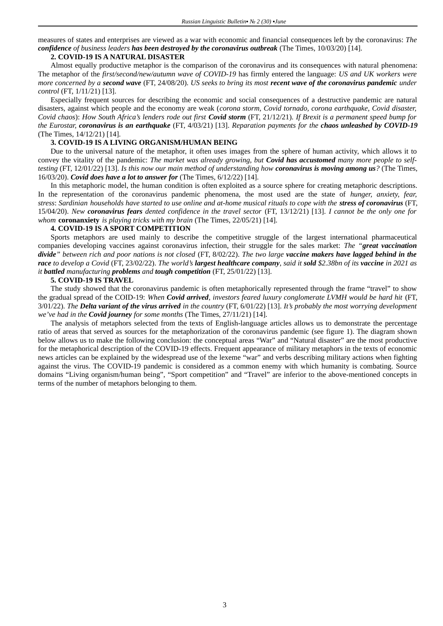measures of states and enterprises are viewed as a war with economic and financial consequences left by the coronavirus: *The confidence of business leaders has been destroyed by the coronavirus outbreak* (The Times, 10/03/20) [14].

### **2. COVID-19 IS A NATURAL DISASTER**

Almost equally productive metaphor is the comparison of the coronavirus and its consequences with natural phenomena: The metaphor of the *first/second/new/autumn wave of COVID-19* has firmly entered the language: *US and UK workers were more concerned by a second wave* (FT, 24/08/20). *US seeks to bring its most recent wave of the coronavirus pandemic under control* (FT, 1/11/21) [13].

Especially frequent sources for describing the economic and social consequences of a destructive pandemic are natural disasters, against which people and the economy are weak (*corona storm, Covid tornado, corona earthquake, Covid disaster, Covid chaos*): *How South Africa's lenders rode out first Covid storm* (FT, 21/12/21). *If Brexit is a permanent speed bump for the Eurostar, coronavirus is an earthquake* (FT, 4/03/21) [13]. *Reparation payments for the chaos unleashed by COVID-19* (The Times, 14/12/21) [14].

# **3. COVID-19 IS A LIVING ORGANISM/HUMAN BEING**

Due to the universal nature of the metaphor, it often uses images from the sphere of human activity, which allows it to convey the vitality of the pandemic: *The market was already growing, but Covid has accustomed many more people to selftesting* (FT, 12/01/22) [13]. *Is this now our main method of understanding how coronavirus is moving among us?* (The Times, 16/03/20). *Covid does have a lot to answer for* (The Times, 6/12/22) [14].

In this metaphoric model, the human condition is often exploited as a source sphere for creating metaphoric descriptions. In the representation of the coronavirus pandemic phenomena, the most used are the state of *hunger, anxiety, fear, stress*: *Sardinian households have started to use online and at-home musical rituals to cope with the stress of coronavirus* (FT, 15/04/20). *New coronavirus fears dented confidence in the travel sector* (FT, 13/12/21) [13]. *I cannot be the only one for whom* **coronanxiety** *is playing tricks with my brain* (The Times, 22/05/21) [14].

# **4. COVID-19 IS A SPORT COMPETITION**

Sports metaphors are used mainly to describe the competitive struggle of the largest international pharmaceutical companies developing vaccines against coronavirus infection, their struggle for the sales market: *The "great vaccination divide" between rich and poor nations is not closed* (FT, 8/02/22). *The two large vaccine makers have lagged behind in the race to develop a Covid* (FT, 23/02/22). *The world's largest healthcare company, said it sold \$2.38bn of its vaccine in 2021 as it battled manufacturing problems and tough competition* (FT, 25/01/22) [13].

# **5. COVID-19 IS TRAVEL**

The study showed that the coronavirus pandemic is often metaphorically represented through the frame "travel" to show the gradual spread of the COID-19: *When Covid arrived, investors feared luxury conglomerate LVMH would be hard hit* (FT, 3/01/22). *The Delta variant of the virus arrived in the country* (FT, 6/01/22) [13]. *It's probably the most worrying development we've had in the Covid journey for some months* (The Times, 27/11/21) [14].

The analysis of metaphors selected from the texts of English-language articles allows us to demonstrate the percentage ratio of areas that served as sources for the metaphorization of the coronavirus pandemic (see figure 1). The diagram shown below allows us to make the following conclusion: the conceptual areas "War" and "Natural disaster" are the most productive for the metaphorical description of the COVID-19 effects. Frequent appearance of military metaphors in the texts of economic news articles can be explained by the widespread use of the lexeme "war" and verbs describing military actions when fighting against the virus. The COVID-19 pandemic is considered as a common enemy with which humanity is combating. Source domains "Living organism/human being", "Sport competition" and "Travel" are inferior to the above-mentioned concepts in terms of the number of metaphors belonging to them.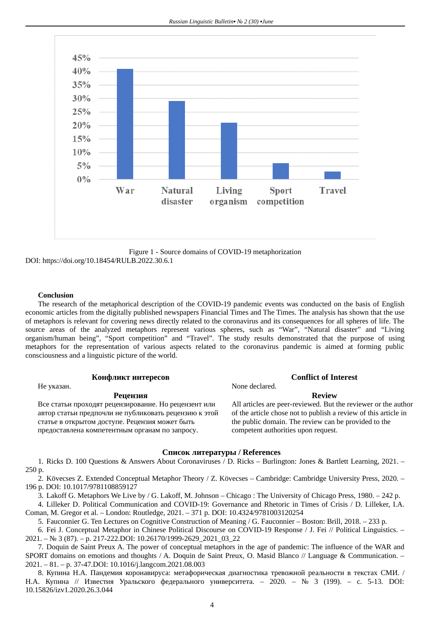

Figure 1 - Source domains of COVID-19 metaphorization DOI: https://doi.org/10.18454/RULB.2022.30.6.1

### **Conclusion**

The research of the metaphorical description of the COVID-19 pandemic events was conducted on the basis of English economic articles from the digitally published newspapers Financial Times and The Times. The analysis has shown that the use of metaphors is relevant for covering news directly related to the coronavirus and its consequences for all spheres of life. The source areas of the analyzed metaphors represent various spheres, such as "War", "Natural disaster" and "Living organism/human being", "Sport competition" and "Travel". The study results demonstrated that the purpose of using metaphors for the representation of various aspects related to the coronavirus pandemic is aimed at forming public consciousness and a linguistic picture of the world.

Не указан. **None declared**.

# **Конфликт интересов Conflict of Interest**

### **Рецензия Review**

Все статьи проходят рецензирование. Но рецензент или автор статьи предпочли не публиковать рецензию к этой статье в открытом доступе. Рецензия может быть предоставлена компетентным органам по запросу.

All articles are peer-reviewed. But the reviewer or the author of the article chose not to publish a review of this article in the public domain. The review can be provided to the competent authorities upon request.

### **Список литературы / References**

1. Ricks D. 100 Questions & Answers About Coronaviruses / D. Ricks – Burlington: Jones & Bartlett Learning, 2021. – 250 p.

2. Kövecses Z. Extended Conceptual Metaphor Theory / Z. Kövecses – Cambridge: Cambridge University Press, 2020. – 196 p. DOI: 10.1017/9781108859127

3. Lakoff G. Metaphors We Live by / G. Lakoff, M. Johnson – Chicago : The University of Chicago Press, 1980. – 242 p.

4. Lilleker D. Political Communication and COVID-19: Governance and Rhetoric in Times of Crisis / D. Lilleker, I.A. Coman, M. Gregor et al. – London: Routledge, 2021. – 371 p. DOI: 10.4324/9781003120254

5. Fauconnier G. Ten Lectures on Cognitive Construction of Meaning / G. Fauconnier – Boston: Brill, 2018. – 233 p.

6. Fei J. Conceptual Metaphor in Chinese Political Discourse on COVID-19 Response / J. Fei // Political Linguistics. – 2021. – № 3 (87). – p. 217-222.DOI: 10.26170/1999-2629\_2021\_03\_22

7. Doquin de Saint Preux A. The power of conceptual metaphors in the age of pandemic: The influence of the WAR and SPORT domains on emotions and thoughts / A. Doquin de Saint Preux, O. Masid Blanco // Language & Communication. – 2021. – 81. – p. 37-47.DOI: 10.1016/j.langcom.2021.08.003

8. Купина Н.А. Пандемия коронавируса: метафорическая диагностика тревожной реальности в текстах СМИ. / Н.А. Купина // Известия Уральского федерального университета. – 2020. – № 3 (199). – c. 5-13. DOI: 10.15826/izv1.2020.26.3.044